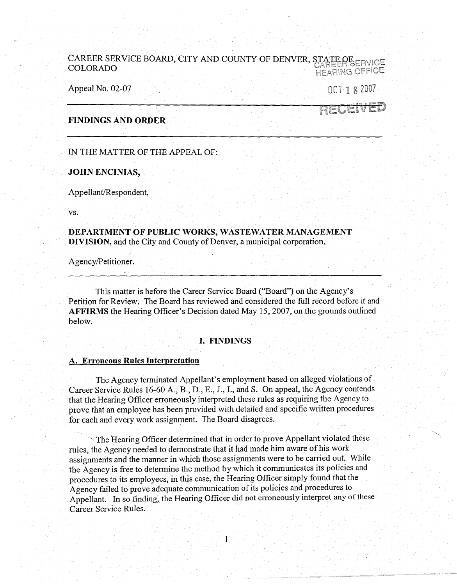# CAREER SERVICE BOARD, CITY AND COUNTY OF DENVER, STATE OF ERVICE COLORADO HEARING OFFICE

Appeal No. 02-07 OCT 1 8 2007

# RECEI

# **FINDINGS AND ORDER**

IN THE MATTER OF THE APPEAL OF:

#### **JOHN ENCINIAS,**

Appellant/Respondent,

VS.

**DEPARTMENT OF PUBLIC WORKS, WASTEWATER MANAGEMENT DIVISION,** arid the City and County of Denver, a municipal corporation,

Agency/Petitioner.

This matter is before the Career Service Board ("Board") on the Agency's Petition for Review. The Board has reviewed and considered the full record before it and **AFFIRMS** the Hearing Officer's Decision dated May 15, 2007, on the grounds outlined below.

# · I. **FINDINGS**

#### **A. Erroneous Rules Interpretation**

The Agency terminated Appellant's employment based on alleged violations of Career Service Rules 16-60 A., B., D., E., J., L, and S. On appeal, the Agency contends that the Hearing Officer erroneously interpreted these rules as requiring the Agency to prove that an employee has been provided with detailed and specific written procedures for each and every work assignment. The Board disagrees.

The Hearing Officer determined that in order to prove Appellant violated these rules, the Agency needed to demonstrate that it had made him aware of his work assignments and the manner in which those assignments were to be carried out. While the Agency is free to detennine the method by which it communicates its policies and procedures to its employees, in this case, the Hearing Officer simply found that the Agency failed to prove adequate communication of its policies and procedures to Appellant. In so finding, the Hearing Officer did not erroneously interpret any of these Career Service Rules.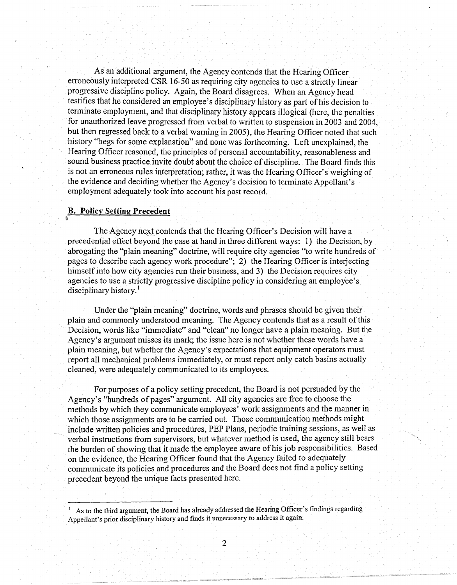As an additional argument, the Agency contends that the Hearing Officer erroneously interpreted CSR 16-50 as requiring city agencies to use a strictly linear progressive discipline policy. Again, the Board disagrees. When an Agency head testifies that he considered an employee's disciplinary history as part of his decision to tenninate employment, and that disciplinary history appears illogical (here, the penalties for unauthorized leave progressed from verbal to written to suspension in 2003 and 2004, but then regressed back to a verbal warning in 2005), the Hearing Officer noted that such history "begs for some explanation" and none was forthcoming. Left unexplained, the Hearing Officer reasoned, the principles of personal accountability, reasonableness and sound business practice invite doubt about the choice of discipline. The Board finds this is not an erroneous rules interpretation; rather, it was the Hearing Officer's weighing of the evidence and deciding whether the Agency's decision to terminate Appellant's employment adequately took into account his past record.

#### **B. Policy Setting Precedent**

!ii

The Agency next contends that the Hearing Officer's Decision will have a precedential effect beyond the case at hand in three different ways: 1) the Decision, by abrogating the "plain meaning" doctrine, will require city agencies "to write hundreds of pages to describe each agency work procedure"; 2) the Hearing Officer is interjecting himself into how city agencies run their business, and 3) the Decision requires city agencies to use a strictly progressive discipline policy in considering an employee's disciplinary history.<sup>1</sup>

Under the "plain meaning" doctrine, words and phrases should be given their plain and commonly understood meaning. The Agency contends that as a result of this Decision, words like "immediate" and "clean" no longer have a plain meaning. But the Agency's argument misses its mark; the issue here is not whether these words have a plain meaning, but whether the Agency's expectations that equipment operators must report all mechanical problems immediately, or must report only catch basins actually cleaned, were adequately communicated to its employees.

For purposes of a policy setting precedent, the Board is not persuaded by the Agency's "hundreds of pages" argument. All city agencies are free to choose the methods by which they communicate employees' work assignments and the manner in which those assignments are to be carried out. Those communication methods might include written policies and procedures, PEP Plans, periodic training sessions, as well as verbal instructions from supervisors, but whatever method is used, the agency still bears the burden of showing that it made the employee aware of his job responsibilities. Based on the evidence, the Hearing Officer found that the Agency failed to adequately communicate its policies and procedures and the Board does not find a policy setting precedent beyond the unique facts presented here.

<sup>1</sup> As to the third argument, the Board has already addressed the Hearing Officer's findings regarding Appellant's prior disciplinary history and finds it unnecessary to address it again.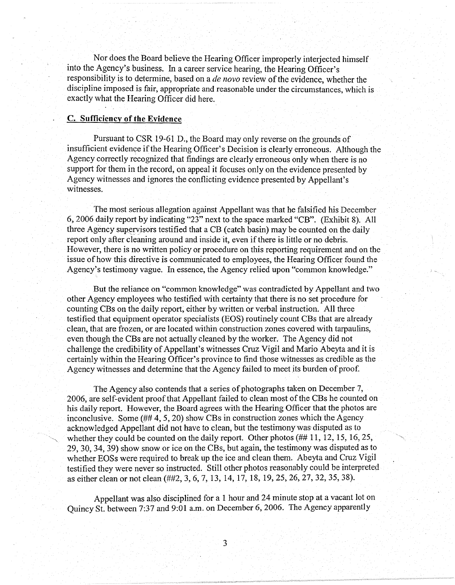Nor does the Board believe the Hearing Officer improperly interjected himself into the Agency's business. In a career service hearing, the Hearing Officer's responsibility is to determine, based on a *de nova* review of the evidence, whether the discipline imposed is fair, appropriate and reasonable under the circumstances, which is exactly what the Hearing Officer did here.

### **C. Sufficiency of the Evidence**

Pursuant to CSR 19-61 D., the Board may only reverse on the grounds of insufficient evidence if the Hearing Officer's Decision is clearly erroneous. Although the Agency correctly recognized that findings are clearly erroneous only when there is no support for them in the record, on appeal it focuses only on the evidence presented by Agency witnesses and ignores the conflicting evidence presented by Appellant's witnesses.

The most serious allegation against Appellant was that he falsified his December 6, 2006 daily report by indicating "23" next to the space marked "CB". (Exhibit 8). All three Agency supervisors testified that a CB ( catch basin) may be counted on the daily report only after cleaning around and inside it, even if there is little or no debris. However, there is no written policy or procedure on this reporting requirement and on the issue of how this directive is communicated to employees, the Hearing Officer found the Agency's testimony vague. In essence, the Agency relied upon "common knowledge."

But the reliance on "common knowledge" was contradicted by Appellant and two other Agency employees who testified with certainty that there is no set procedure for counting CBs on the daily report, either by written or verbal instruction. All three testified that equipment operator specialists (EOS) routinely count CBs that are already clean, that are frozen, or are located within construction zones covered with tarpaulins, even though the CBs are not actually cleaned by the worker. The Agency did not challenge the credibility of Appellant's witnesses Cruz Vigil and Mario Abeyta and it is certainly within the Hearing Officer's province to find those witnesses as credible as the Agency witnesses and determine that the Agency failed to meet its burden of proof

The Agency also contends that a series of photographs taken on December 7, 2006, are self-evident proof that Appellant failed to clean most of the CBs he counted on his daily report. However, the Board agrees with the Hearing Officer that the photos are inconclusive. Some(## 4, 5, 20) show CBs in construction zones which the Agency acknowledged Appellant did not have to clean, but the testimonywas disputed as to whether they could be counted on the daily report. Other photos (## 11, 12, 15, 16, 25, 29, 30, 34, 39) show snow or ice on the CBs, but again, the testimony was disputed as to whether EOSs were required to break up the ice and clean them. Abeyta and Cruz Vigil testified they were never so instructed. Still other photos reasonably could be interpreted as either clean or not clean (##2, 3, 6, 7, 13, 14, 17, 18, 19, 25, 26, 27, 32, 35, 38).

Appellant was also disciplined for a 1 hour and 24 minute stop at a vacant lot on Quincy St. between 7:37 and 9:01 a.m. on December 6, 2006. The Agency apparently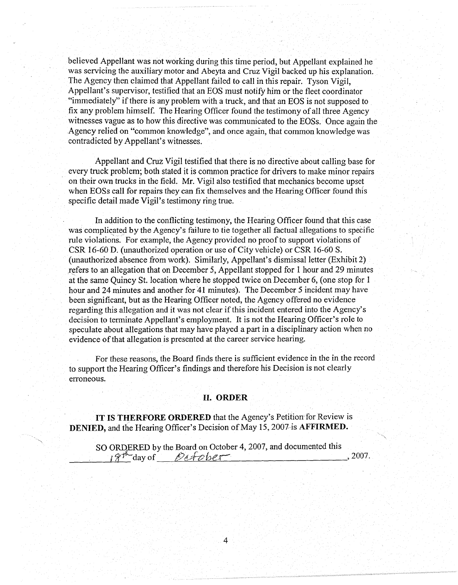believed Appellant was not working during this time period, but Appellant explained he was servicing the auxiliary motor and Abeyta and Cruz Vigil backed up his explanation. The Agency then claimed that Appellant failed to call in this repair. Tyson Vigil, Appellant's supervisor, testified that an EOS must notify him or the fleet coordinator "immediately" if there is any problem with a truck, and that an EOS is not supposed to fix any problem himself. The Hearing Officer found the testimony of all three Agency witnesses vague as to how this directive was communicated to the EOSs. Once again the Agency relied on "common knowledge", and once again, that common knowledge was contradicted by Appellant's witnesses.

Appellant and Cruz Vigil testified that there is no directive about calling base for every truck problem; both stated it is common practice for drivers to make minor repairs on their own trucks in the field. Mr. Vigil also testified that mechanics become upset when EOSs call for repairs they can fix themselves and the Hearing Officer found this specific detail made Vigil's testimony ring true.

In addition to the conflicting testimony, the Hearing Officer found that this case was complicated by the Agency's failure to tie together all factual allegations to specific rule violations. For example, the Agency provided no proof to support violations of CSR 16-60 D. (unauthorized operation or use of City vehicle) or CSR 16-60 S. (unauthorized absence from work). Similarly, Appellant's dismissal letter (Exhibit 2) refers to an allegation that on December 5, Appellant stopped for 1 hour and 29 minutes at the same Quincy St. location where he stopped twice on December 6, ( one stop for 1 hour and 24 minutes and another for 41 minutes). The December 5 incident may have been significant, but as the Hearing Officer noted, the Agency offered no evidence regarding this allegation and it was not clear if this incident entered into the Agency's decision to terminate Appellant's employment. It is not the Hearing Officer's role to speculate about allegations that may have played a part in a disciplinary action when no evidence of that allegation is presented at the career service hearing.

For these reasons, the Board finds there is sufficient evidence in the in the record to support the Hearing Officer's findings and therefore his Decision is not clearly erroneous.

## II. **ORDER**

**IT IS THERFORE ORDERED** that the Agency's Petition for Review is **DENIED,** and the Hearing Officer's Decision of May 15, 2007-is **AFFIRMED.** 

SO ORDERED by the Board on October 4, 2007, and documented this \_\_\_ \_\_\_,.\_f~;f-~\_ day of *Pct::h?{Je.-1* , 2007.